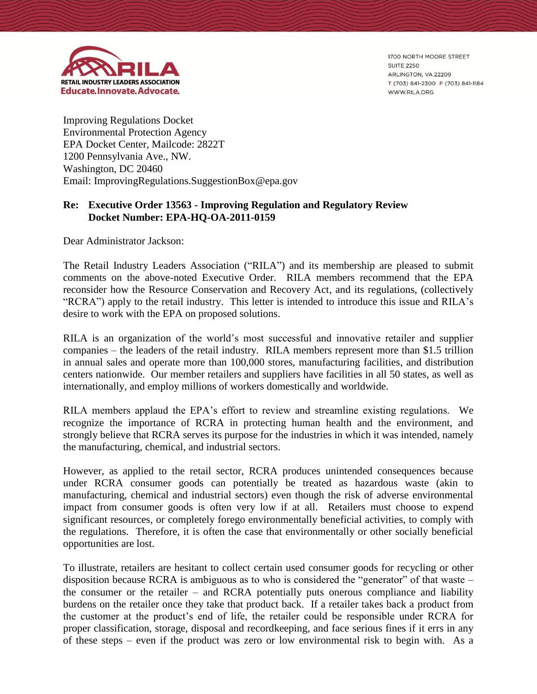

1700 NORTH MOORE STREET **SUITE 2250** ARLINGTON, VA 22209 T (703) 841-2300 F (703) 841-1184 WWW.RILA.ORG

Improving Regulations Docket Environmental Protection Agency EPA Docket Center, Mailcode: 2822T 1200 Pennsylvania Ave., NW. Washington, DC 20460 Email: ImprovingRegulations.SuggestionBox@epa.gov

## **Re: Executive Order 13563 - Improving Regulation and Regulatory Review Docket Number: EPA-HQ-OA-2011-0159**

Dear Administrator Jackson:

The Retail Industry Leaders Association ("RILA") and its membership are pleased to submit comments on the above-noted Executive Order. RILA members recommend that the EPA reconsider how the Resource Conservation and Recovery Act, and its regulations, (collectively "RCRA") apply to the retail industry. This letter is intended to introduce this issue and RILA's desire to work with the EPA on proposed solutions.

RILA is an organization of the world's most successful and innovative retailer and supplier companies – the leaders of the retail industry. RILA members represent more than \$1.5 trillion in annual sales and operate more than 100,000 stores, manufacturing facilities, and distribution centers nationwide. Our member retailers and suppliers have facilities in all 50 states, as well as internationally, and employ millions of workers domestically and worldwide.

RILA members applaud the EPA's effort to review and streamline existing regulations. We recognize the importance of RCRA in protecting human health and the environment, and strongly believe that RCRA serves its purpose for the industries in which it was intended, namely the manufacturing, chemical, and industrial sectors.

However, as applied to the retail sector, RCRA produces unintended consequences because under RCRA consumer goods can potentially be treated as hazardous waste (akin to manufacturing, chemical and industrial sectors) even though the risk of adverse environmental impact from consumer goods is often very low if at all. Retailers must choose to expend significant resources, or completely forego environmentally beneficial activities, to comply with the regulations. Therefore, it is often the case that environmentally or other socially beneficial opportunities are lost.

To illustrate, retailers are hesitant to collect certain used consumer goods for recycling or other disposition because RCRA is ambiguous as to who is considered the "generator" of that waste – the consumer or the retailer – and RCRA potentially puts onerous compliance and liability burdens on the retailer once they take that product back. If a retailer takes back a product from the customer at the product's end of life, the retailer could be responsible under RCRA for proper classification, storage, disposal and recordkeeping, and face serious fines if it errs in any of these steps – even if the product was zero or low environmental risk to begin with. As a